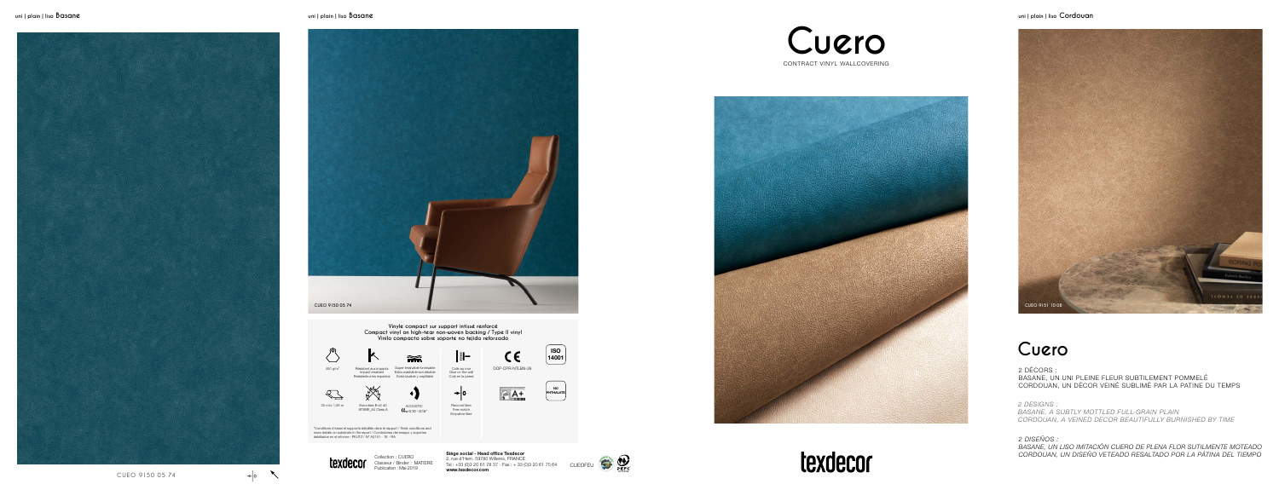



**Siège social - Head office Texdecor** 2, rue d'Hem, 59780 Willems, FRANCE Tel : +33 (0)3 20 61 78 37 - Fax : + 33 (0)3 20 61 75 64 CUEOFEU **www.texdecor.com**

![](_page_0_Picture_37.jpeg)

**Cuero**

![](_page_0_Picture_5.jpeg)

![](_page_0_Picture_6.jpeg)

Raccord libre Free match Empalme libre

![](_page_0_Picture_15.jpeg)

Colle au mur Glue on the wall Cola en la pared

![](_page_0_Picture_11.jpeg)

![](_page_0_Picture_12.jpeg)

Extra lavable y cepillable

![](_page_0_Picture_13.jpeg)

**Vinyle compact sur support intissé renforcé Compact vinyl on high-tear non-woven backing / Type II vinyl Vinilo compacto sobre soporte no tejido reforzado**

\*Conditions d'essai et supports détaillés dans le rapport / Tests conditions and more details on substrate in the report / Condiciones del ensayo y soportes detallados en el informe : PEUTZ / N° A3151 - 1E - RA

Proposition and Compact resistant<br>Resistente a los impactos

MA

 $\mathbb{R}$ 

![](_page_0_Picture_17.jpeg)

![](_page_0_Picture_10.jpeg)

2 DÉCORS :

BASANE, UN UNI PLEINE FLEUR SUBTILEMENT POMMELÉ CORDOUAN, UN DÉCOR VEINÉ SUBLIMÉ PAR LA PATINE DU TEMPS

*2 DESIGNS :*

*BASANE, A SUBTLY MOTTLED FULL-GRAIN PLAIN CORDOUAN, A VEINED DECOR BEAUTIFULLY BURNISHED BY TIME*

*2 DISEÑOS :*

![](_page_0_Picture_25.jpeg)

![](_page_0_Picture_26.jpeg)

*BASANE, UN LISO IMITACIÓN CUERO DE PLENA FLOR SUTILMENTE MOTEADO CORDOUAN, UN DISEÑO VETEADO RESALTADO POR LA PÁTINA DEL TIEMPO*

Résistant aux impacts Impact resistant Super lessivable-brossable Extra washable-scrubbable

![](_page_0_Picture_7.jpeg)

CE.

![](_page_0_Picture_27.jpeg)

![](_page_0_Picture_29.jpeg)

Collection : CUERO Classeur / Binder : MATIERE Publication : Mai 2019

![](_page_0_Picture_30.jpeg)

![](_page_0_Picture_31.jpeg)

![](_page_0_Picture_20.jpeg)

![](_page_0_Picture_1.jpeg)

![](_page_0_Picture_3.jpeg)